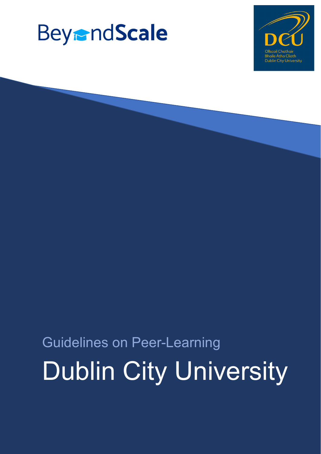# **BeyrndScale**



# Guidelines on Peer-Learning Dublin City University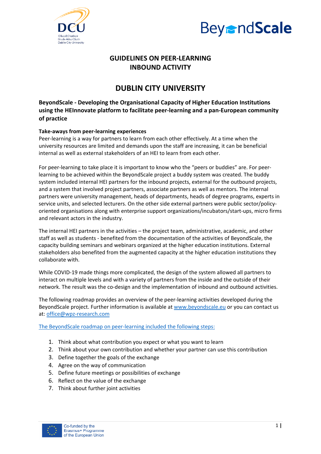



### **GUIDELINES ON PEER‐LEARNING INBOUND ACTIVITY**

## **DUBLIN CITY UNIVERSITY**

**BeyondScale ‐ Developing the Organisational Capacity of Higher Education Institutions using the HEInnovate platform to facilitate peer‐learning and a pan‐European community of practice**

#### **Take‐aways from peer‐learning experiences**

Peer-learning is a way for partners to learn from each other effectively. At a time when the university resources are limited and demands upon the staff are increasing, it can be beneficial internal as well as external stakeholders of an HEI to learn from each other.

For peer‐learning to take place it is important to know who the "peers or buddies" are. For peer‐ learning to be achieved within the BeyondScale project a buddy system was created. The buddy system included internal HEI partners for the inbound projects, external for the outbound projects, and a system that involved project partners, associate partners as well as mentors. The internal partners were university management, heads of departments, heads of degree programs, experts in service units, and selected lecturers. On the other side external partners were public sector/policyoriented organisations along with enterprise support organizations/incubators/start‐ups, micro firms and relevant actors in the industry.

The internal HEI partners in the activities – the project team, administrative, academic, and other staff as well as students ‐ benefited from the documentation of the activities of BeyondScale, the capacity building seminars and webinars organized at the higher education institutions. External stakeholders also benefited from the augmented capacity at the higher education institutions they collaborate with.

While COVID‐19 made things more complicated, the design of the system allowed all partners to interact on multiple levels and with a variety of partners from the inside and the outside of their network. The result was the co-design and the implementation of inbound and outbound activities.

The following roadmap provides an overview of the peer‐learning activities developed during the BeyondScale project. Further information is available at www.beyondscale.eu or you can contact us at: office@wpz‐research.com

The BeyondScale roadmap on peer‐learning included the following steps:

- 1. Think about what contribution you expect or what you want to learn
- 2. Think about your own contribution and whether your partner can use this contribution
- 3. Define together the goals of the exchange
- 4. Agree on the way of communication
- 5. Define future meetings or possibilities of exchange
- 6. Reflect on the value of the exchange
- 7. Think about further joint activities

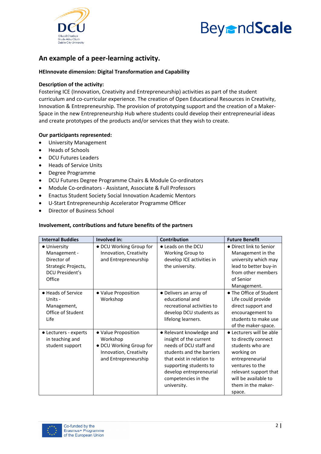

# **BeyrndScale**

### **An example of a peer‐learning activity.**

#### **HEInnovate dimension: Digital Transformation and Capability**

#### **Description of the activity:**

Fostering ICE (Innovation, Creativity and Entrepreneurship) activities as part of the student curriculum and co-curricular experience. The creation of Open Educational Resources in Creativity, Innovation & Entrepreneurship. The provision of prototyping support and the creation of a Maker‐ Space in the new Entrepreneurship Hub where students could develop their entrepreneurial ideas and create prototypes of the products and/or services that they wish to create.

#### **Our participants represented:**

- University Management
- Heads of Schools
- DCU Futures Leaders
- Heads of Service Units
- Degree Programme
- DCU Futures Degree Programme Chairs & Module Co-ordinators
- Module Co-ordinators Assistant, Associate & Full Professors
- Enactus Student Society Social Innovation Academic Mentors
- U‐Start Entrepreneurship Accelerator Programme Officer
- Director of Business School

#### **Involvement, contributions and future benefits of the partners**

| <b>Internal Buddies</b> | Involved in:            | <b>Contribution</b>        | <b>Future Benefit</b>    |
|-------------------------|-------------------------|----------------------------|--------------------------|
| • University            | • DCU Working Group for | • Leads on the DCU         | • Direct link to Senior  |
| Management -            | Innovation, Creativity  | Working Group to           | Management in the        |
| Director of             | and Entrepreneurship    | develop ICE activities in  | university which may     |
| Strategic Projects,     |                         | the university.            | lead to better buy-in    |
| <b>DCU President's</b>  |                         |                            | from other members       |
| Office                  |                         |                            | of Senior                |
|                         |                         |                            | Management.              |
| • Heads of Service      | · Value Proposition     | • Delivers an array of     | • The Office of Student  |
| Units -                 | Workshop                | educational and            | Life could provide       |
| Management,             |                         | recreational activities to | direct support and       |
| Office of Student       |                         | develop DCU students as    | encouragement to         |
| Life                    |                         | lifelong learners.         | students to make use     |
|                         |                         |                            | of the maker-space.      |
| • Lecturers - experts   | • Value Proposition     | • Relevant knowledge and   | • Lecturers will be able |
| in teaching and         | Workshop                | insight of the current     | to directly connect      |
| student support         | • DCU Working Group for | needs of DCU staff and     | students who are         |
|                         | Innovation, Creativity  | students and the barriers  | working on               |
|                         | and Entrepreneurship    | that exist in relation to  | entrepreneurial          |
|                         |                         | supporting students to     | ventures to the          |
|                         |                         | develop entrepreneurial    | relevant support that    |
|                         |                         | competencies in the        | will be available to     |
|                         |                         | university.                | them in the maker-       |
|                         |                         |                            | space.                   |

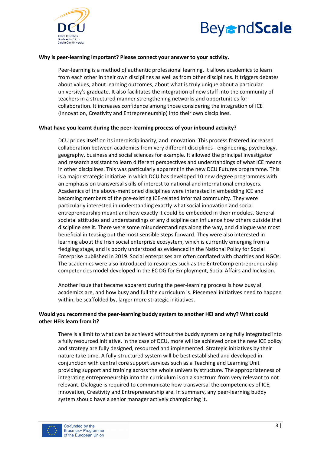



#### **Why is peer‐learning important? Please connect your answer to your activity.**

Peer-learning is a method of authentic professional learning. It allows academics to learn from each other in their own disciplines as well as from other disciplines. It triggers debates about values, about learning outcomes, about what is truly unique about a particular university's graduate. It also facilitates the integration of new staff into the community of teachers in a structured manner strengthening networks and opportunities for collaboration. It increases confidence among those considering the integration of ICE (Innovation, Creativity and Entrepreneurship) into their own disciplines.

#### **What have you learnt during the peer‐learning process of your inbound activity?**

DCU prides itself on its interdisciplinarity, and innovation. This process fostered increased collaboration between academics from very different disciplines ‐ engineering, psychology, geography, business and social sciences for example. It allowed the principal investigator and research assistant to learn different perspectives and understandings of what ICE means in other disciplines. This was particularly apparent in the new DCU Futures programme. This is a major strategic initiative in which DCU has developed 10 new degree programmes with an emphasis on transversal skills of interest to national and international employers. Academics of the above‐mentioned disciplines were interested in embedding ICE and becoming members of the pre‐existing ICE‐related informal community. They were particularly interested in understanding exactly what social innovation and social entrepreneurship meant and how exactly it could be embedded in their modules. General societal attitudes and understandings of any discipline can influence how others outside that discipline see it. There were some misunderstandings along the way, and dialogue was most beneficial in teasing out the most sensible steps forward. They were also interested in learning about the Irish social enterprise ecosystem, which is currently emerging from a fledgling stage, and is poorly understood as evidenced in the National Policy for Social Enterprise published in 2019. Social enterprises are often conflated with charities and NGOs. The academics were also introduced to resources such as the EntreComp entrepreneurship competencies model developed in the EC DG for Employment, Social Affairs and Inclusion.

Another issue that became apparent during the peer‐learning process is how busy all academics are, and how busy and full the curriculum is. Piecemeal initiatives need to happen within, be scaffolded by, larger more strategic initiatives.

#### **Would you recommend the peer‐learning buddy system to another HEI and why? What could other HEIs learn from it?**

There is a limit to what can be achieved without the buddy system being fully integrated into a fully resourced initiative. In the case of DCU, more will be achieved once the new ICE policy and strategy are fully designed, resourced and implemented. Strategic initiatives by their nature take time. A fully‐structured system will be best established and developed in conjunction with central core support services such as a Teaching and Learning Unit providing support and training across the whole university structure. The appropriateness of integrating entrepreneurship into the curriculum is on a spectrum from very relevant to not relevant. Dialogue is required to communicate how transversal the competencies of ICE, Innovation, Creativity and Entrepreneurship are. In summary, any peer‐learning buddy system should have a senior manager actively championing it.

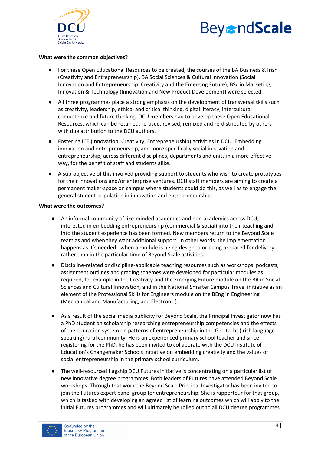



#### **What were the common objectives?**

- For these Open Educational Resources to be created, the courses of the BA Business & Irish (Creativity and Entrepreneurship), BA Social Sciences & Cultural Innovation (Social Innovation and Entrepreneurship: Creativity and the Emerging Future), BSc in Marketing, Innovation & Technology (Innovation and New Product Development) were selected.
- All three programmes place a strong emphasis on the development of transversal skills such as creativity, leadership, ethical and critical thinking, digital literacy, intercultural competence and future thinking. DCU members had to develop these Open Educational Resources, which can be retained, re-used, revised, remixed and re-distributed by others with due attribution to the DCU authors.
- Fostering ICE (Innovation, Creativity, Entrepreneurship) activities in DCU. Embedding innovation and entrepreneurship, and more specifically social innovation and entrepreneurship, across different disciplines, departments and units in a more effective way, for the benefit of staff and students alike.
- A sub-objective of this involved providing support to students who wish to create prototypes for their innovations and/or enterprise ventures. DCU staff members are aiming to create a permanent maker‐space on campus where students could do this, as well as to engage the general student population in innovation and entrepreneurship.

#### **What were the outcomes?**

- An informal community of like-minded academics and non-academics across DCU, interested in embedding entrepreneurship (commercial & social) into their teaching and into the student experience has been formed. New members return to the Beyond Scale team as and when they want additional support. In other words, the implementation happens as it's needed - when a module is being designed or being prepared for delivery rather than in the particular time of Beyond Scale activities.
- Discipline-related or discipline-applicable teaching resources such as workshops. podcasts, assignment outlines and grading schemes were developed for particular modules as required, for example in the Creativity and the Emerging Future module on the BA in Social Sciences and Cultural Innovation, and in the National Smarter Campus Travel initiative as an element of the Professional Skills for Engineers module on the BEng in Engineering (Mechanical and Manufacturing, and Electronic).
- As a result of the social media publicity for Beyond Scale, the Principal Investigator now has a PhD student on scholarship researching entrepreneurship competencies and the effects of the education system on patterns of entrepreneurship in the Gaeltacht (Irish language speaking) rural community. He is an experienced primary school teacher and since registering for the PhD, he has been invited to collaborate with the DCU Institute of Education's Changemaker Schools initiative on embedding creativity and the values of social entrepreneurship in the primary school curriculum.
- The well-resourced flagship DCU Futures initiative is concentrating on a particular list of new innovative degree programmes. Both leaders of Futures have attended Beyond Scale workshops. Through that work the Beyond Scale Principal Investigator has been invited to join the Futures expert panel group for entrepreneurship. She is rapporteur for that group, which is tasked with developing an agreed list of learning outcomes which will apply to the initial Futures programmes and will ultimately be rolled out to all DCU degree programmes.

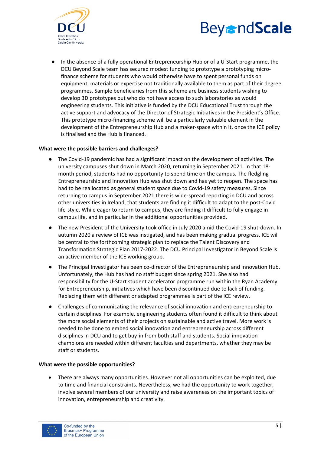



In the absence of a fully operational Entrepreneurship Hub or of a U-Start programme, the DCU Beyond Scale team has secured modest funding to prototype a prototyping micro‐ finance scheme for students who would otherwise have to spent personal funds on equipment, materials or expertise not traditionally available to them as part of their degree programmes. Sample beneficiaries from this scheme are business students wishing to develop 3D prototypes but who do not have access to such laboratories as would engineering students. This initiative is funded by the DCU Educational Trust through the active support and advocacy of the Director of Strategic Initiatives in the President's Office. This prototype micro‐financing scheme will be a particularly valuable element in the development of the Entrepreneurship Hub and a maker‐space within it, once the ICE policy is finalised and the Hub is financed.

#### **What were the possible barriers and challenges?**

- The Covid-19 pandemic has had a significant impact on the development of activities. The university campuses shut down in March 2020, returning in September 2021. In that 18‐ month period, students had no opportunity to spend time on the campus. The fledgling Entrepreneurship and Innovation Hub was shut down and has yet to reopen. The space has had to be reallocated as general student space due to Covid-19 safety measures. Since returning to campus in September 2021 there is wide‐spread reporting in DCU and across other universities in Ireland, that students are finding it difficult to adapt to the post‐Covid life‐style. While eager to return to campus, they are finding it difficult to fully engage in campus life, and in particular in the additional opportunities provided.
- The new President of the University took office in July 2020 amid the Covid-19 shut-down. In autumn 2020 a review of ICE was instigated, and has been making gradual progress. ICE will be central to the forthcoming strategic plan to replace the Talent Discovery and Transformation Strategic Plan 2017‐2022. The DCU Principal Investigator in Beyond Scale is an active member of the ICE working group.
- The Principal Investigator has been co-director of the Entrepreneurship and Innovation Hub. Unfortunately, the Hub has had no staff budget since spring 2021. She also had responsibility for the U‐Start student accelerator programme run within the Ryan Academy for Entrepreneurship, initiatives which have been discontinued due to lack of funding. Replacing them with different or adapted programmes is part of the ICE review.
- Challenges of communicating the relevance of social innovation and entrepreneurship to certain disciplines. For example, engineering students often found it difficult to think about the more social elements of their projects on sustainable and active travel. More work is needed to be done to embed social innovation and entrepreneurship across different disciplines in DCU and to get buy‐in from both staff and students. Social innovation champions are needed within different faculties and departments, whether they may be staff or students.

#### **What were the possible opportunities?**

 There are always many opportunities. However not all opportunities can be exploited, due to time and financial constraints. Nevertheless, we had the opportunity to work together, involve several members of our university and raise awareness on the important topics of innovation, entrepreneurship and creativity.